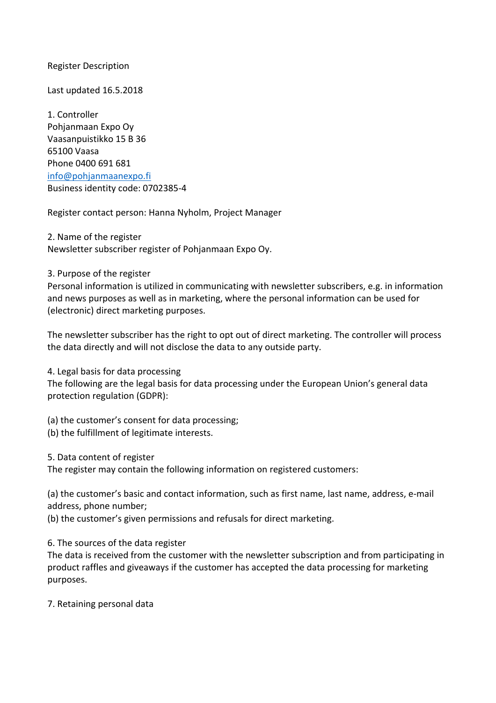Register Description

Last updated 16.5.2018

1. Controller Pohjanmaan Expo Oy Vaasanpuistikko 15 B 36 65100 Vaasa Phone 0400 691 681 info@pohjanmaanexpo.fi Business identity code: 0702385-4

Register contact person: Hanna Nyholm, Project Manager

2. Name of the register Newsletter subscriber register of Pohjanmaan Expo Oy.

3. Purpose of the register

Personal information is utilized in communicating with newsletter subscribers, e.g. in information and news purposes as well as in marketing, where the personal information can be used for (electronic) direct marketing purposes.

The newsletter subscriber has the right to opt out of direct marketing. The controller will process the data directly and will not disclose the data to any outside party.

4. Legal basis for data processing

The following are the legal basis for data processing under the European Union's general data protection regulation (GDPR):

(a) the customer's consent for data processing;

(b) the fulfillment of legitimate interests.

5. Data content of register

The register may contain the following information on registered customers:

(a) the customer's basic and contact information, such as first name, last name, address, e-mail address, phone number;

(b) the customer's given permissions and refusals for direct marketing.

6. The sources of the data register

The data is received from the customer with the newsletter subscription and from participating in product raffles and giveaways if the customer has accepted the data processing for marketing purposes.

7. Retaining personal data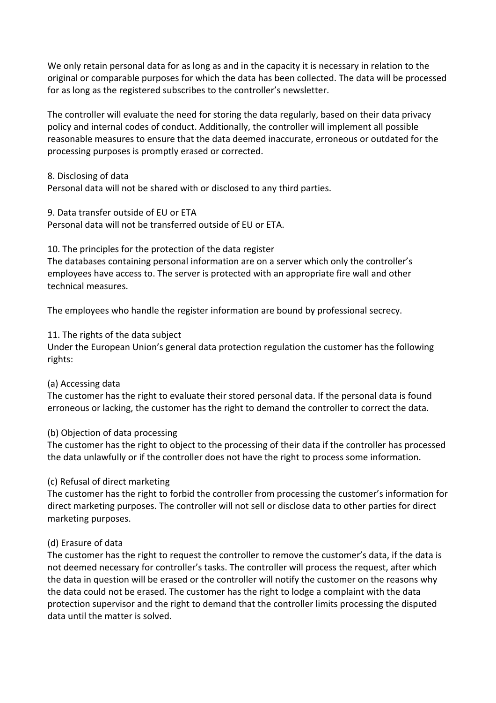We only retain personal data for as long as and in the capacity it is necessary in relation to the original or comparable purposes for which the data has been collected. The data will be processed for as long as the registered subscribes to the controller's newsletter.

The controller will evaluate the need for storing the data regularly, based on their data privacy policy and internal codes of conduct. Additionally, the controller will implement all possible reasonable measures to ensure that the data deemed inaccurate, erroneous or outdated for the processing purposes is promptly erased or corrected.

#### 8. Disclosing of data

Personal data will not be shared with or disclosed to any third parties.

9. Data transfer outside of EU or ETA

Personal data will not be transferred outside of EU or ETA.

10. The principles for the protection of the data register

The databases containing personal information are on a server which only the controller's employees have access to. The server is protected with an appropriate fire wall and other technical measures.

The employees who handle the register information are bound by professional secrecy.

11. The rights of the data subject

Under the European Union's general data protection regulation the customer has the following rights:

# (a) Accessing data

The customer has the right to evaluate their stored personal data. If the personal data is found erroneous or lacking, the customer has the right to demand the controller to correct the data.

# (b) Objection of data processing

The customer has the right to object to the processing of their data if the controller has processed the data unlawfully or if the controller does not have the right to process some information.

# (c) Refusal of direct marketing

The customer has the right to forbid the controller from processing the customer's information for direct marketing purposes. The controller will not sell or disclose data to other parties for direct marketing purposes.

# (d) Erasure of data

The customer has the right to request the controller to remove the customer's data, if the data is not deemed necessary for controller's tasks. The controller will process the request, after which the data in question will be erased or the controller will notify the customer on the reasons why the data could not be erased. The customer has the right to lodge a complaint with the data protection supervisor and the right to demand that the controller limits processing the disputed data until the matter is solved.